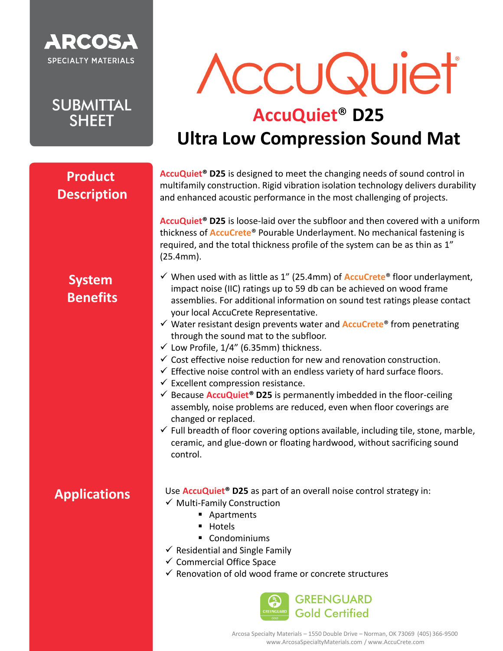

**SUBMITTAL SHEET** 

# AccuQuiet

## **AccuQuiet**® **D25 Ultra Low Compression Sound Mat**

#### **Product Description**

**AccuQuiet® D25** is designed to meet the changing needs of sound control in multifamily construction. Rigid vibration isolation technology delivers durability and enhanced acoustic performance in the most challenging of projects.

**AccuQuiet® D25** is loose-laid over the subfloor and then covered with a uniform thickness of **AccuCrete**® Pourable Underlayment. No mechanical fastening is required, and the total thickness profile of the system can be as thin as 1" (25.4mm).

#### **System Benefits**

- ✓ When used with as little as 1" (25.4mm) of **AccuCrete**® floor underlayment, impact noise (IIC) ratings up to 59 db can be achieved on wood frame assemblies. For additional information on sound test ratings please contact your local AccuCrete Representative.
- ✓ Water resistant design prevents water and **AccuCrete**® from penetrating through the sound mat to the subfloor.
- ✓ Low Profile, 1/4" (6.35mm) thickness.
- $\checkmark$  Cost effective noise reduction for new and renovation construction.
- $\checkmark$  Effective noise control with an endless variety of hard surface floors.
- $\checkmark$  Excellent compression resistance.
- ✓ Because **AccuQuiet® D25** is permanently imbedded in the floor-ceiling assembly, noise problems are reduced, even when floor coverings are changed or replaced.
- $\checkmark$  Full breadth of floor covering options available, including tile, stone, marble, ceramic, and glue-down or floating hardwood, without sacrificing sound control.

#### **Applications**

- Use **AccuQuiet® D25** as part of an overall noise control strategy in: ✓ Multi-Family Construction
	- Apartments
	- Hotels
	- Condominiums
- $\checkmark$  Residential and Single Family
- ✓ Commercial Office Space
- $\checkmark$  Renovation of old wood frame or concrete structures

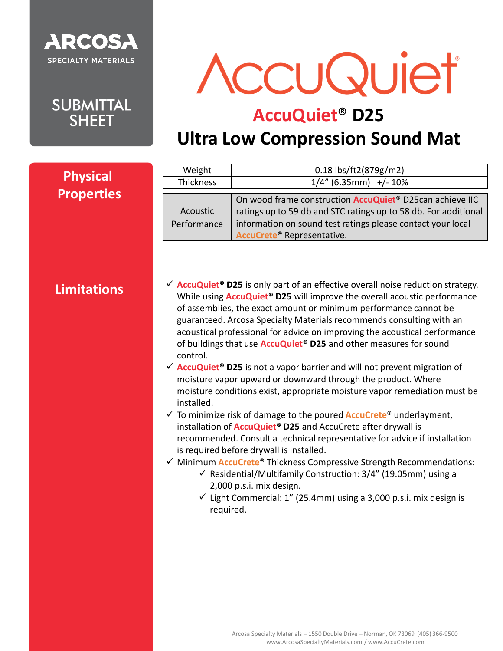

**SUBMITTAL SHEET** 

AccuQuiet

# **AccuQuiet**® **D25**

# **Ultra Low Compression Sound Mat**

|                                      | Weight                              | 0.18 lbs/ft2(879g/m2)                                                                                                                                                                                                                                                                                                                                                                                                                                                                                                                                                                                                                                                                                                                                                                                                                                                                                                                                                                                                                                                                                                                                                                                                                                                                                                                                            |
|--------------------------------------|-------------------------------------|------------------------------------------------------------------------------------------------------------------------------------------------------------------------------------------------------------------------------------------------------------------------------------------------------------------------------------------------------------------------------------------------------------------------------------------------------------------------------------------------------------------------------------------------------------------------------------------------------------------------------------------------------------------------------------------------------------------------------------------------------------------------------------------------------------------------------------------------------------------------------------------------------------------------------------------------------------------------------------------------------------------------------------------------------------------------------------------------------------------------------------------------------------------------------------------------------------------------------------------------------------------------------------------------------------------------------------------------------------------|
| <b>Physical</b><br><b>Properties</b> | Thickness                           | $1/4$ " (6.35mm) +/- 10%                                                                                                                                                                                                                                                                                                                                                                                                                                                                                                                                                                                                                                                                                                                                                                                                                                                                                                                                                                                                                                                                                                                                                                                                                                                                                                                                         |
|                                      | Acoustic<br>Performance             | On wood frame construction AccuQuiet® D25can achieve IIC<br>ratings up to 59 db and STC ratings up to 58 db. For additional<br>information on sound test ratings please contact your local<br>AccuCrete® Representative.                                                                                                                                                                                                                                                                                                                                                                                                                                                                                                                                                                                                                                                                                                                                                                                                                                                                                                                                                                                                                                                                                                                                         |
| <b>Limitations</b>                   | control.<br>installed.<br>required. | $\checkmark$ AccuQuiet <sup>®</sup> D25 is only part of an effective overall noise reduction strategy.<br>While using <b>AccuQuiet<sup>®</sup> D25</b> will improve the overall acoustic performance<br>of assemblies, the exact amount or minimum performance cannot be<br>guaranteed. Arcosa Specialty Materials recommends consulting with an<br>acoustical professional for advice on improving the acoustical performance<br>of buildings that use <b>AccuQuiet<sup>®</sup> D25</b> and other measures for sound<br>$\checkmark$ AccuQuiet <sup>®</sup> D25 is not a vapor barrier and will not prevent migration of<br>moisture vapor upward or downward through the product. Where<br>moisture conditions exist, appropriate moisture vapor remediation must be<br>$\checkmark$ To minimize risk of damage to the poured <b>AccuCrete<sup>®</sup></b> underlayment,<br>installation of <b>AccuQuiet<sup>®</sup> D25</b> and AccuCrete after drywall is<br>recommended. Consult a technical representative for advice if installation<br>is required before drywall is installed.<br>√ Minimum <b>AccuCrete®</b> Thickness Compressive Strength Recommendations:<br>$\checkmark$ Residential/Multifamily Construction: 3/4" (19.05mm) using a<br>2,000 p.s.i. mix design.<br>$\checkmark$ Light Commercial: 1" (25.4mm) using a 3,000 p.s.i. mix design is |